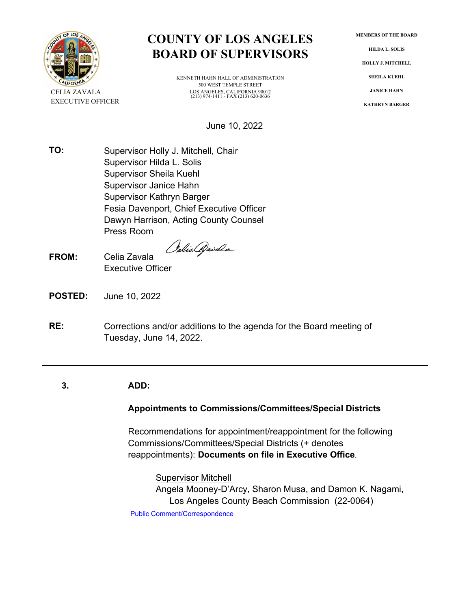

# **COUNTY OF LOS ANGELES BOARD OF SUPERVISORS**

KENNETH HAHN HALL OF ADMINISTRATION 500 WEST TEMPLE STREET CELIA ZAVALA LOS ANGELES, CALIFORNIA 90012 (213) 974-1411 - FAX (213) 620-0636

June 10, 2022

**TO:** Supervisor Holly J. Mitchell, Chair Supervisor Hilda L. Solis Supervisor Sheila Kuehl Supervisor Janice Hahn Supervisor Kathryn Barger Fesia Davenport, Chief Executive Officer Dawyn Harrison, Acting County Counsel Press Room

Oslia Qwala

- **FROM:** Celia Zavala Executive Officer
- **POSTED:** June 10, 2022
- **RE:** Corrections and/or additions to the agenda for the Board meeting of Tuesday, June 14, 2022.

# **3. ADD:**

# **Appointments to Commissions/Committees/Special Districts**

Recommendations for appointment/reappointment for the following Commissions/Committees/Special Districts (+ denotes reappointments): **Documents on file in Executive Office**.

**Supervisor Mitchell** Angela Mooney-D'Arcy, Sharon Musa, and Damon K. Nagami, Los Angeles County Beach Commission (22-0064) [Public Comment/Correspondence](http://file.lacounty.gov/SDSInter/bos/supdocs/164766.pdf)

**MEMBERS OF THE BOARD**

**HILDA L. SOLIS**

**HOLLY J. MITCHELL**

**SHEILA KUEHL**

**JANICE HAHN**

**KATHRYN BARGER**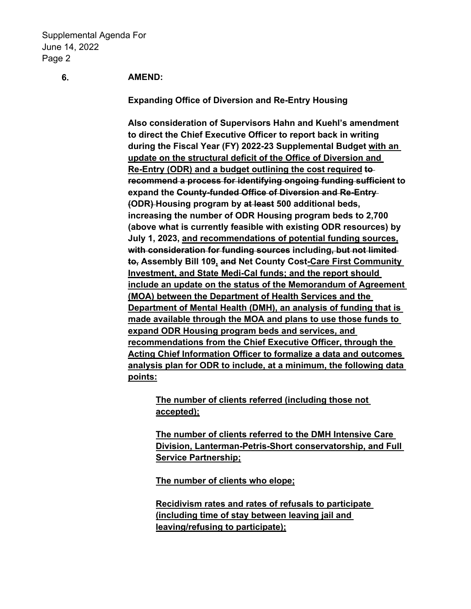# **6. AMEND:**

**Expanding Office of Diversion and Re-Entry Housing**

**Also consideration of Supervisors Hahn and Kuehl's amendment to direct the Chief Executive Officer to report back in writing during the Fiscal Year (FY) 2022-23 Supplemental Budget with an update on the structural deficit of the Office of Diversion and Re-Entry (ODR) and a budget outlining the cost required to recommend a process for identifying ongoing funding sufficient to expand the County-funded Office of Diversion and Re-Entry (ODR) Housing program by at least 500 additional beds, increasing the number of ODR Housing program beds to 2,700 (above what is currently feasible with existing ODR resources) by July 1, 2023, and recommendations of potential funding sources,** with consideration for funding sources including, but not limited **to, Assembly Bill 109, and Net County Cost-Care First Community Investment, and State Medi-Cal funds; and the report should include an update on the status of the Memorandum of Agreement (MOA) between the Department of Health Services and the Department of Mental Health (DMH), an analysis of funding that is made available through the MOA and plans to use those funds to expand ODR Housing program beds and services, and recommendations from the Chief Executive Officer, through the Acting Chief Information Officer to formalize a data and outcomes analysis plan for ODR to include, at a minimum, the following data points:**

**The number of clients referred (including those not accepted);**

**The number of clients referred to the DMH Intensive Care Division, Lanterman-Petris-Short conservatorship, and Full Service Partnership;**

**The number of clients who elope;**

**Recidivism rates and rates of refusals to participate (including time of stay between leaving jail and leaving/refusing to participate);**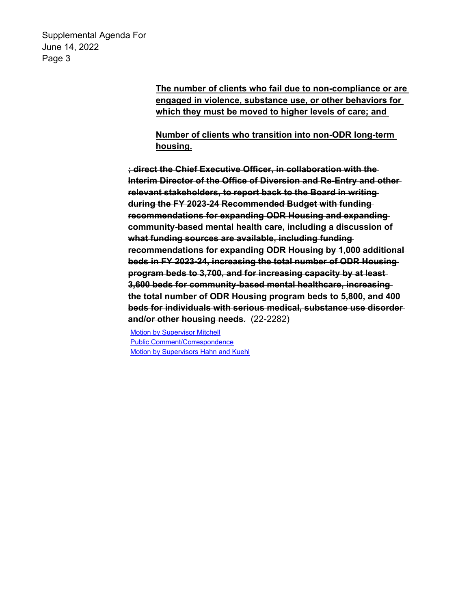> **The number of clients who fail due to non-compliance or are engaged in violence, substance use, or other behaviors for which they must be moved to higher levels of care; and**

**Number of clients who transition into non-ODR long-term housing.**

**; direct the Chief Executive Officer, in collaboration with the Interim Director of the Office of Diversion and Re-Entry and other relevant stakeholders, to report back to the Board in writing during the FY 2023-24 Recommended Budget with funding recommendations for expanding ODR Housing and expanding community-based mental health care, including a discussion of what funding sources are available, including funding recommendations for expanding ODR Housing by 1,000 additional beds in FY 2023-24, increasing the total number of ODR Housing program beds to 3,700, and for increasing capacity by at least 3,600 beds for community-based mental healthcare, increasing the total number of ODR Housing program beds to 5,800, and 400 beds for individuals with serious medical, substance use disorder and/or other housing needs.** (22-2282)

[Motion by Supervisor Mitchell](http://file.lacounty.gov/SDSInter/bos/supdocs/169808.pdf) [Public Comment/Correspondence](http://file.lacounty.gov/SDSInter/bos/supdocs/169809.pdf) [Motion by Supervisors Hahn and Kuehl](http://file.lacounty.gov/SDSInter/bos/supdocs/169911.pdf)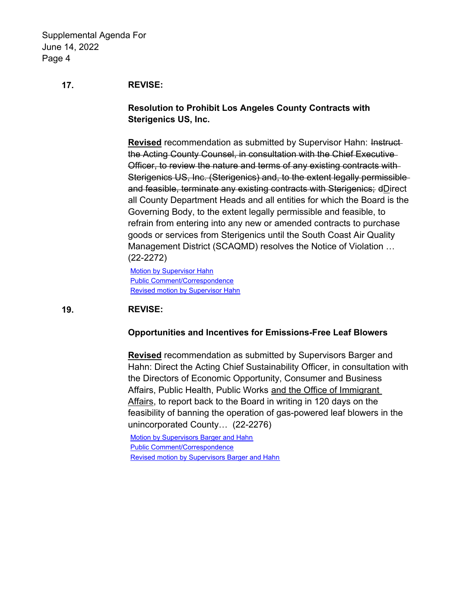# **17. REVISE:**

**Resolution to Prohibit Los Angeles County Contracts with Sterigenics US, Inc.**

**Revised** recommendation as submitted by Supervisor Hahn: Instructthe Acting County Counsel, in consultation with the Chief Executive Officer, to review the nature and terms of any existing contracts with Sterigenics US, Inc. (Sterigenics) and, to the extent legally permissible and feasible, terminate any existing contracts with Sterigenics; dDirect all County Department Heads and all entities for which the Board is the Governing Body, to the extent legally permissible and feasible, to refrain from entering into any new or amended contracts to purchase goods or services from Sterigenics until the South Coast Air Quality Management District (SCAQMD) resolves the Notice of Violation … (22-2272)

**[Motion by Supervisor Hahn](http://file.lacounty.gov/SDSInter/bos/supdocs/169793.pdf)** [Public Comment/Correspondence](http://file.lacounty.gov/SDSInter/bos/supdocs/169794.pdf) [Revised motion by Supervisor Hahn](http://file.lacounty.gov/SDSInter/bos/supdocs/169900.pdf)

# **19. REVISE:**

#### **Opportunities and Incentives for Emissions-Free Leaf Blowers**

**Revised** recommendation as submitted by Supervisors Barger and Hahn: Direct the Acting Chief Sustainability Officer, in consultation with the Directors of Economic Opportunity, Consumer and Business Affairs, Public Health, Public Works and the Office of Immigrant Affairs, to report back to the Board in writing in 120 days on the feasibility of banning the operation of gas-powered leaf blowers in the unincorporated County… (22-2276)

[Motion by Supervisors Barger and Hahn](http://file.lacounty.gov/SDSInter/bos/supdocs/169802.pdf) [Public Comment/Correspondence](http://file.lacounty.gov/SDSInter/bos/supdocs/169803.pdf) [Revised motion by Supervisors Barger and Hahn](http://file.lacounty.gov/SDSInter/bos/supdocs/169905.pdf)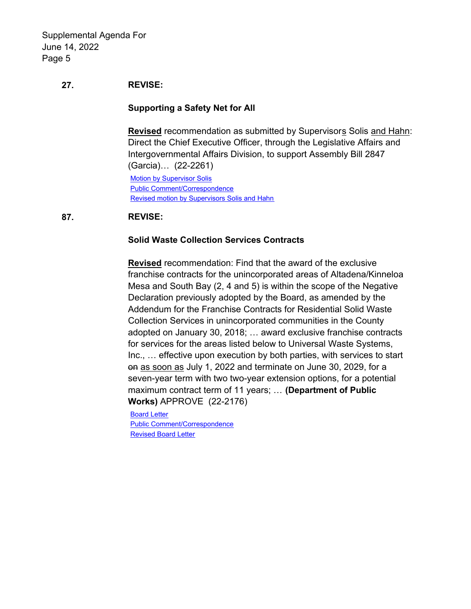# **27. REVISE:**

# **Supporting a Safety Net for All**

**Revised** recommendation as submitted by Supervisors Solis and Hahn: Direct the Chief Executive Officer, through the Legislative Affairs and Intergovernmental Affairs Division, to support Assembly Bill 2847 (Garcia)… (22-2261)

[Motion by Supervisor Solis](http://file.lacounty.gov/SDSInter/bos/supdocs/169778.pdf) [Public Comment/Correspondence](http://file.lacounty.gov/SDSInter/bos/supdocs/169780.pdf) [Revised motion by Supervisors Solis and Hahn](http://file.lacounty.gov/SDSInter/bos/supdocs/169908.pdf)

# **87. REVISE:**

# **Solid Waste Collection Services Contracts**

**Revised** recommendation: Find that the award of the exclusive franchise contracts for the unincorporated areas of Altadena/Kinneloa Mesa and South Bay (2, 4 and 5) is within the scope of the Negative Declaration previously adopted by the Board, as amended by the Addendum for the Franchise Contracts for Residential Solid Waste Collection Services in unincorporated communities in the County adopted on January 30, 2018; … award exclusive franchise contracts for services for the areas listed below to Universal Waste Systems, Inc., … effective upon execution by both parties, with services to start on as soon as July 1, 2022 and terminate on June 30, 2029, for a seven-year term with two two-year extension options, for a potential maximum contract term of 11 years; … **(Department of Public Works)** APPROVE (22-2176)

[Board Letter](http://file.lacounty.gov/SDSInter/bos/supdocs/169593.pdf) [Public Comment/Correspondence](http://file.lacounty.gov/SDSInter/bos/supdocs/169596.pdf) [Revised Board Letter](http://file.lacounty.gov/SDSInter/bos/supdocs/169899.pdf)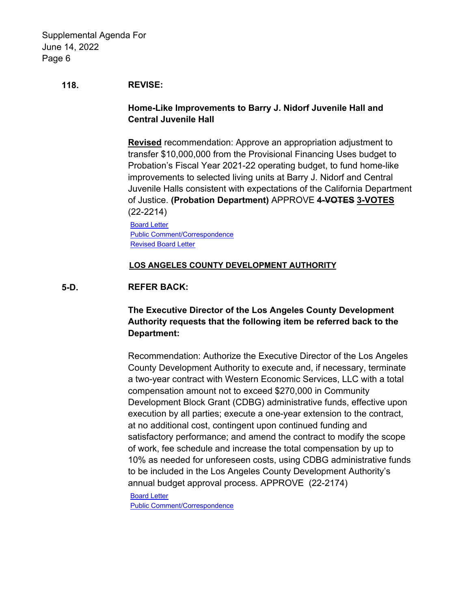#### **118. REVISE:**

# **Home-Like Improvements to Barry J. Nidorf Juvenile Hall and Central Juvenile Hall**

**Revised** recommendation: Approve an appropriation adjustment to transfer \$10,000,000 from the Provisional Financing Uses budget to Probation's Fiscal Year 2021-22 operating budget, to fund home-like improvements to selected living units at Barry J. Nidorf and Central Juvenile Halls consistent with expectations of the California Department of Justice. **(Probation Department)** APPROVE **4-VOTES 3-VOTES** (22-2214)

[Board Letter](http://file.lacounty.gov/SDSInter/bos/supdocs/169677.pdf) [Public Comment/Correspondence](http://file.lacounty.gov/SDSInter/bos/supdocs/169678.pdf) **[Revised Board Letter](http://file.lacounty.gov/SDSInter/bos/supdocs/169891.pdf)** 

#### **LOS ANGELES COUNTY DEVELOPMENT AUTHORITY**

#### **5-D. REFER BACK:**

# **The Executive Director of the Los Angeles County Development Authority requests that the following item be referred back to the Department:**

Recommendation: Authorize the Executive Director of the Los Angeles County Development Authority to execute and, if necessary, terminate a two-year contract with Western Economic Services, LLC with a total compensation amount not to exceed \$270,000 in Community Development Block Grant (CDBG) administrative funds, effective upon execution by all parties; execute a one-year extension to the contract, at no additional cost, contingent upon continued funding and satisfactory performance; and amend the contract to modify the scope of work, fee schedule and increase the total compensation by up to 10% as needed for unforeseen costs, using CDBG administrative funds to be included in the Los Angeles County Development Authority's annual budget approval process. APPROVE (22-2174)

[Board Letter](http://file.lacounty.gov/SDSInter/bos/supdocs/169589.pdf) [Public Comment/Correspondence](http://file.lacounty.gov/SDSInter/bos/supdocs/169591.pdf)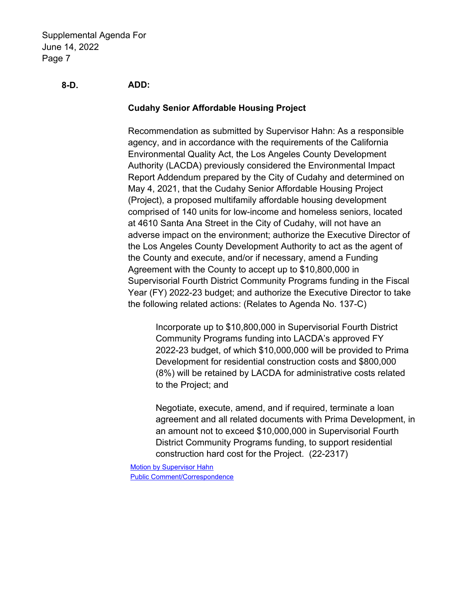# **8-D. ADD:**

# **Cudahy Senior Affordable Housing Project**

Recommendation as submitted by Supervisor Hahn: As a responsible agency, and in accordance with the requirements of the California Environmental Quality Act, the Los Angeles County Development Authority (LACDA) previously considered the Environmental Impact Report Addendum prepared by the City of Cudahy and determined on May 4, 2021, that the Cudahy Senior Affordable Housing Project (Project), a proposed multifamily affordable housing development comprised of 140 units for low-income and homeless seniors, located at 4610 Santa Ana Street in the City of Cudahy, will not have an adverse impact on the environment; authorize the Executive Director of the Los Angeles County Development Authority to act as the agent of the County and execute, and/or if necessary, amend a Funding Agreement with the County to accept up to \$10,800,000 in Supervisorial Fourth District Community Programs funding in the Fiscal Year (FY) 2022-23 budget; and authorize the Executive Director to take the following related actions: (Relates to Agenda No. 137-C)

Incorporate up to \$10,800,000 in Supervisorial Fourth District Community Programs funding into LACDA's approved FY 2022-23 budget, of which \$10,000,000 will be provided to Prima Development for residential construction costs and \$800,000 (8%) will be retained by LACDA for administrative costs related to the Project; and

Negotiate, execute, amend, and if required, terminate a loan agreement and all related documents with Prima Development, in an amount not to exceed \$10,000,000 in Supervisorial Fourth District Community Programs funding, to support residential construction hard cost for the Project. (22-2317)

[Motion by Supervisor Hahn](http://file.lacounty.gov/SDSInter/bos/supdocs/169921.pdf) [Public Comment/Correspondence](http://file.lacounty.gov/SDSInter/bos/supdocs/169922.pdf)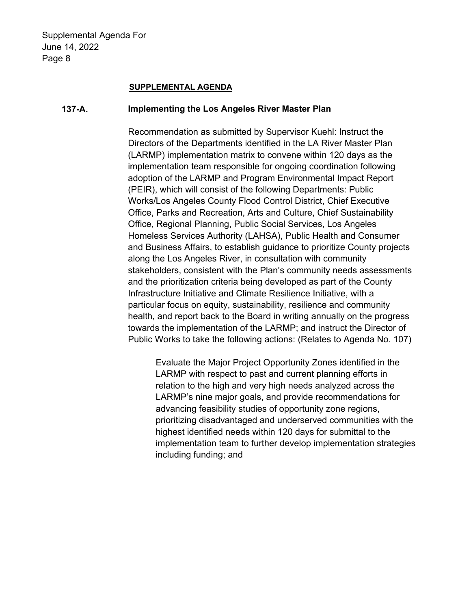#### **SUPPLEMENTAL AGENDA**

### **137-A. Implementing the Los Angeles River Master Plan**

Recommendation as submitted by Supervisor Kuehl: Instruct the Directors of the Departments identified in the LA River Master Plan (LARMP) implementation matrix to convene within 120 days as the implementation team responsible for ongoing coordination following adoption of the LARMP and Program Environmental Impact Report (PEIR), which will consist of the following Departments: Public Works/Los Angeles County Flood Control District, Chief Executive Office, Parks and Recreation, Arts and Culture, Chief Sustainability Office, Regional Planning, Public Social Services, Los Angeles Homeless Services Authority (LAHSA), Public Health and Consumer and Business Affairs, to establish guidance to prioritize County projects along the Los Angeles River, in consultation with community stakeholders, consistent with the Plan's community needs assessments and the prioritization criteria being developed as part of the County Infrastructure Initiative and Climate Resilience Initiative, with a particular focus on equity, sustainability, resilience and community health, and report back to the Board in writing annually on the progress towards the implementation of the LARMP; and instruct the Director of Public Works to take the following actions: (Relates to Agenda No. 107)

Evaluate the Major Project Opportunity Zones identified in the LARMP with respect to past and current planning efforts in relation to the high and very high needs analyzed across the LARMP's nine major goals, and provide recommendations for advancing feasibility studies of opportunity zone regions, prioritizing disadvantaged and underserved communities with the highest identified needs within 120 days for submittal to the implementation team to further develop implementation strategies including funding; and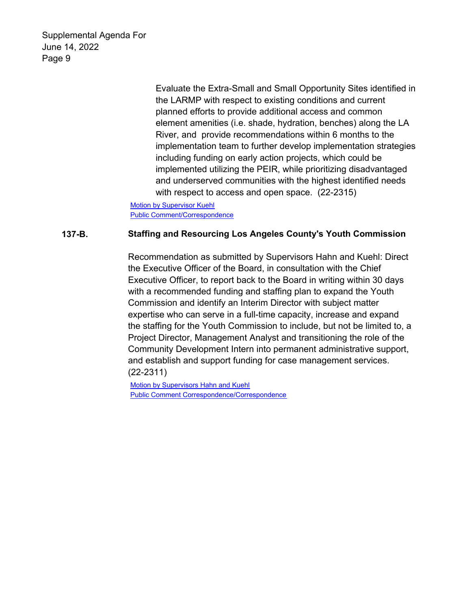> Evaluate the Extra-Small and Small Opportunity Sites identified in the LARMP with respect to existing conditions and current planned efforts to provide additional access and common element amenities (i.e. shade, hydration, benches) along the LA River, and provide recommendations within 6 months to the implementation team to further develop implementation strategies including funding on early action projects, which could be implemented utilizing the PEIR, while prioritizing disadvantaged and underserved communities with the highest identified needs with respect to access and open space. (22-2315)

[Motion by Supervisor Kuehl](http://file.lacounty.gov/SDSInter/bos/supdocs/169912.pdf) [Public Comment/Correspondence](http://file.lacounty.gov/SDSInter/bos/supdocs/169913.pdf)

# **137-B. Staffing and Resourcing Los Angeles County's Youth Commission**

Recommendation as submitted by Supervisors Hahn and Kuehl: Direct the Executive Officer of the Board, in consultation with the Chief Executive Officer, to report back to the Board in writing within 30 days with a recommended funding and staffing plan to expand the Youth Commission and identify an Interim Director with subject matter expertise who can serve in a full-time capacity, increase and expand the staffing for the Youth Commission to include, but not be limited to, a Project Director, Management Analyst and transitioning the role of the Community Development Intern into permanent administrative support, and establish and support funding for case management services. (22-2311)

**[Motion by Supervisors Hahn and Kuehl](http://file.lacounty.gov/SDSInter/bos/supdocs/169903.pdf)** [Public Comment Correspondence/Correspondence](http://file.lacounty.gov/SDSInter/bos/supdocs/169904.pdf)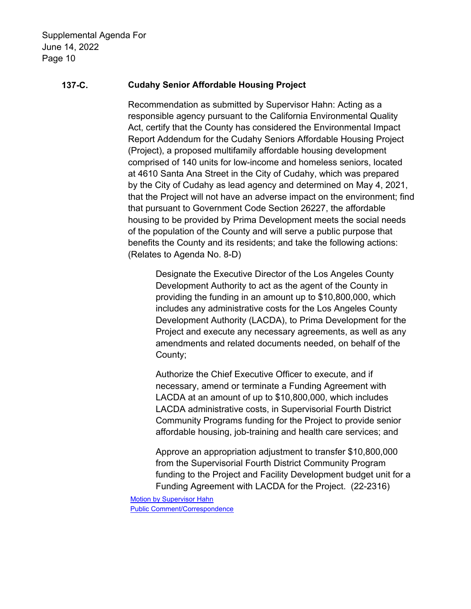# **137-C. Cudahy Senior Affordable Housing Project**

Recommendation as submitted by Supervisor Hahn: Acting as a responsible agency pursuant to the California Environmental Quality Act, certify that the County has considered the Environmental Impact Report Addendum for the Cudahy Seniors Affordable Housing Project (Project), a proposed multifamily affordable housing development comprised of 140 units for low-income and homeless seniors, located at 4610 Santa Ana Street in the City of Cudahy, which was prepared by the City of Cudahy as lead agency and determined on May 4, 2021, that the Project will not have an adverse impact on the environment; find that pursuant to Government Code Section 26227, the affordable housing to be provided by Prima Development meets the social needs of the population of the County and will serve a public purpose that benefits the County and its residents; and take the following actions: (Relates to Agenda No. 8-D)

Designate the Executive Director of the Los Angeles County Development Authority to act as the agent of the County in providing the funding in an amount up to \$10,800,000, which includes any administrative costs for the Los Angeles County Development Authority (LACDA), to Prima Development for the Project and execute any necessary agreements, as well as any amendments and related documents needed, on behalf of the County;

Authorize the Chief Executive Officer to execute, and if necessary, amend or terminate a Funding Agreement with LACDA at an amount of up to \$10,800,000, which includes LACDA administrative costs, in Supervisorial Fourth District Community Programs funding for the Project to provide senior affordable housing, job-training and health care services; and

Approve an appropriation adjustment to transfer \$10,800,000 from the Supervisorial Fourth District Community Program funding to the Project and Facility Development budget unit for a Funding Agreement with LACDA for the Project. (22-2316)

[Motion by Supervisor Hahn](http://file.lacounty.gov/SDSInter/bos/supdocs/169919.pdf) [Public Comment/Correspondence](http://file.lacounty.gov/SDSInter/bos/supdocs/169920.pdf)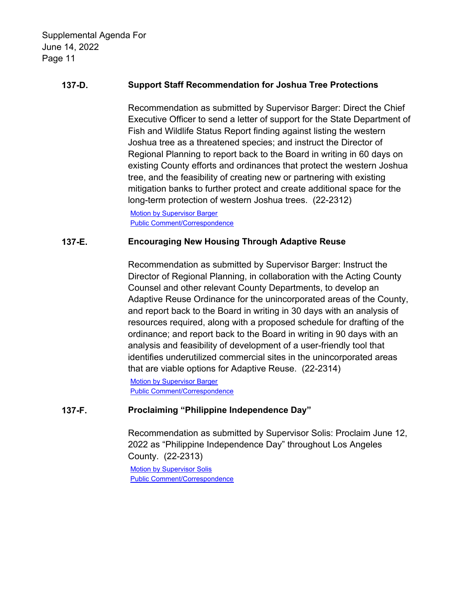# **137-D. Support Staff Recommendation for Joshua Tree Protections**

Recommendation as submitted by Supervisor Barger: Direct the Chief Executive Officer to send a letter of support for the State Department of Fish and Wildlife Status Report finding against listing the western Joshua tree as a threatened species; and instruct the Director of Regional Planning to report back to the Board in writing in 60 days on existing County efforts and ordinances that protect the western Joshua tree, and the feasibility of creating new or partnering with existing mitigation banks to further protect and create additional space for the long-term protection of western Joshua trees. (22-2312)

[Motion by Supervisor Barger](http://file.lacounty.gov/SDSInter/bos/supdocs/169901.pdf) [Public Comment/Correspondence](http://file.lacounty.gov/SDSInter/bos/supdocs/169902.pdf)

# **137-E. Encouraging New Housing Through Adaptive Reuse**

Recommendation as submitted by Supervisor Barger: Instruct the Director of Regional Planning, in collaboration with the Acting County Counsel and other relevant County Departments, to develop an Adaptive Reuse Ordinance for the unincorporated areas of the County, and report back to the Board in writing in 30 days with an analysis of resources required, along with a proposed schedule for drafting of the ordinance; and report back to the Board in writing in 90 days with an analysis and feasibility of development of a user-friendly tool that identifies underutilized commercial sites in the unincorporated areas that are viable options for Adaptive Reuse. (22-2314)

[Motion by Supervisor Barger](http://file.lacounty.gov/SDSInter/bos/supdocs/169909.pdf) [Public Comment/Correspondence](http://file.lacounty.gov/SDSInter/bos/supdocs/169910.pdf)

# **137-F. Proclaiming "Philippine Independence Day"**

Recommendation as submitted by Supervisor Solis: Proclaim June 12, 2022 as "Philippine Independence Day" throughout Los Angeles County. (22-2313)

[Motion by Supervisor Solis](http://file.lacounty.gov/SDSInter/bos/supdocs/169906.pdf) [Public Comment/Correspondence](http://file.lacounty.gov/SDSInter/bos/supdocs/169907.pdf)